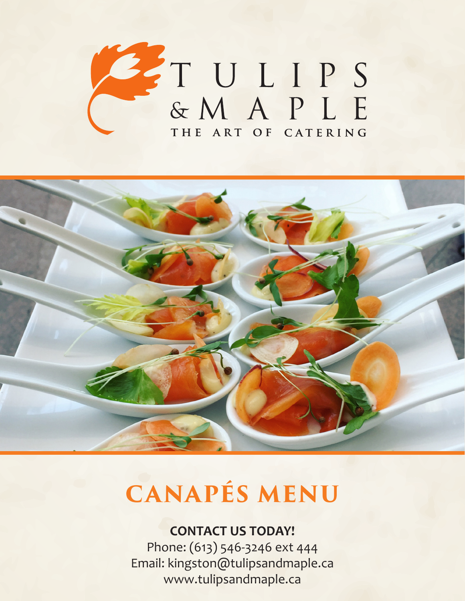



# **CANAPÉS MENU**

## **CONTACT US TODAY!**

Phone: (613) 546-3246 ext 444 Email: kingston@tulipsandmaple.ca www.tulipsandmaple.ca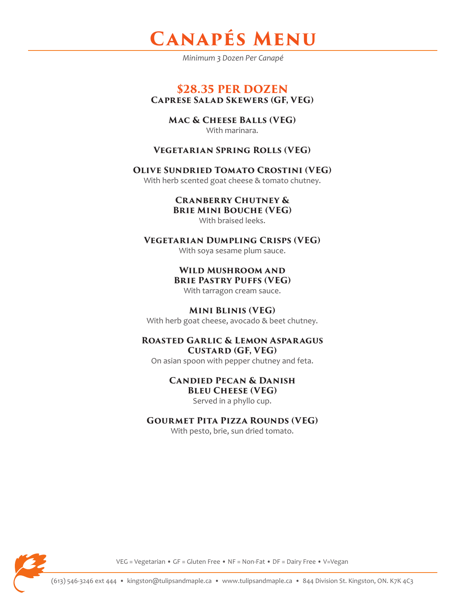

*Minimum 3 Dozen Per Canapé*

#### **\$28.35 PER DOZEN Caprese Salad Skewers (GF, VEG)**

**Mac & Cheese Balls (VEG)** With marinara.

#### **Vegetarian Spring Rolls (VEG)**

#### **Olive Sundried Tomato Crostini (VEG)**

With herb scented goat cheese & tomato chutney.

## **Cranberry Chutney &**

**Brie Mini Bouche (VEG)** 

With braised leeks.

#### **Vegetarian Dumpling Crisps (VEG)**

With soya sesame plum sauce.

**Wild Mushroom and Brie Pastry Puffs (VEG)**

With tarragon cream sauce.

#### **Mini Blinis (VEG)**

With herb goat cheese, avocado & beet chutney.

#### **Roasted Garlic & Lemon Asparagus Custard (GF, VEG)**

On asian spoon with pepper chutney and feta.

## **Candied Pecan & Danish Bleu Cheese (VEG)**

Served in a phyllo cup.

#### **Gourmet Pita Pizza Rounds (VEG)**

With pesto, brie, sun dried tomato.



VEG = Vegetarian • GF = Gluten Free • NF = Non-Fat • DF = Dairy Free • V=Vegan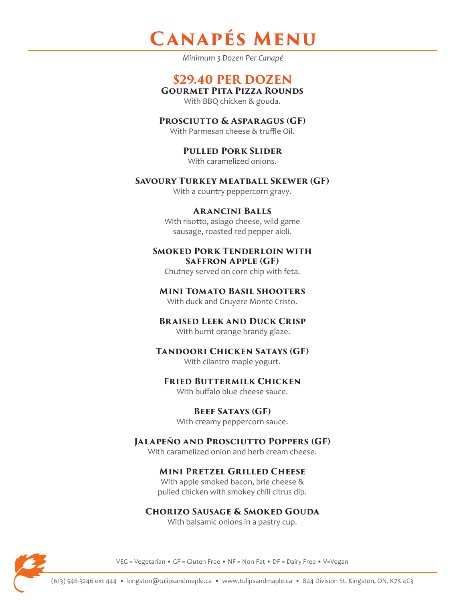## **CanapÉs Menu**

*Minimum 3 Dozen Per Canapé*

## **\$29.40 PER DOZEN**

**Gourmet Pita Pizza Rounds** 

With BBQ chicken & gouda.

#### **Prosciutto & Asparagus (GF)**

With Parmesan cheese & truffle Oil.

**Pulled Pork Slider**  With caramelized onions.

#### **Savoury Turkey Meatball Skewer (GF)**

With a country peppercorn gravy.

#### **Arancini Balls**

With risotto, asiago cheese, wild game sausage, roasted red pepper aioli.

#### **Smoked Pork Tenderloin with Saffron Apple (GF)**

Chutney served on corn chip with feta.

#### **Mini Tomato Basil Shooters**

With duck and Gruyere Monte Cristo.

#### **Braised Leek and Duck Crisp** With burnt orange brandy glaze.

#### **Tandoori Chicken Satays (GF)**

With cilantro maple yogurt.

#### **Fried Buttermilk Chicken**

With buffalo blue cheese sauce.

#### **Beef Satays (GF)**

With creamy peppercorn sauce.

#### **Jalapeño and Prosciutto Poppers (GF)**

With caramelized onion and herb cream cheese.

#### **Mini Pretzel Grilled Cheese**

With apple smoked bacon, brie cheese & pulled chicken with smokey chili citrus dip.

### **Chorizo Sausage & Smoked Gouda**

With balsamic onions in a pastry cup.



VEG = Vegetarian • GF = Gluten Free • NF = Non-Fat • DF = Dairy Free • V=Vegan